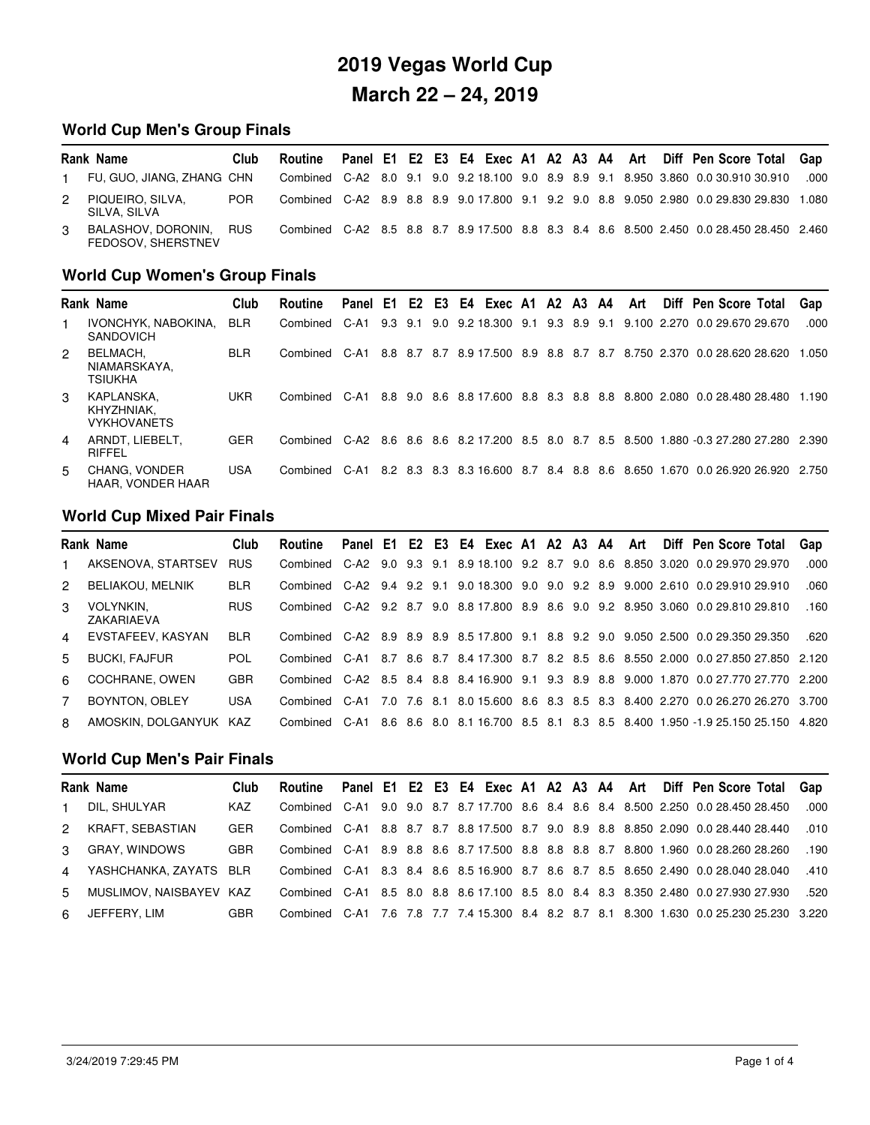### **World Cup Men's Group Finals**

|   | Rank Name                                | Club       | Routine |  |  |  |  |  |  | Panel E1 E2 E3 E4 Exec A1 A2 A3 A4 Art Diff Pen Score Total Gap                          |       |
|---|------------------------------------------|------------|---------|--|--|--|--|--|--|------------------------------------------------------------------------------------------|-------|
|   | FU. GUO. JIANG. ZHANG CHN                |            |         |  |  |  |  |  |  | Combined C-A2 8.0 9.1 9.0 9.2 18.100 9.0 8.9 8.9 9.1 8.950 3.860 0.0 30.910 30.910       | .000  |
| 2 | PIQUEIRO, SILVA,<br>SILVA, SILVA         | <b>POR</b> |         |  |  |  |  |  |  | Combined C-A2 8.9 8.8 8.9 9.0 17.800 9.1 9.2 9.0 8.8 9.050 2.980 0.0 29.830 29.830       | 1.080 |
| 3 | BALASHOV, DORONIN.<br>FEDOSOV, SHERSTNEV | <b>RUS</b> |         |  |  |  |  |  |  | Combined C-A2 8.5 8.8 8.7 8.9 17.500 8.8 8.3 8.4 8.6 8.500 2.450 0.0 28.450 28.450 2.460 |       |

### **World Cup Women's Group Finals**

|   | <b>Rank Name</b>                               | Club       | Routine       | Panel E1 E2 E3 E4 Exec A1 A2 A3 A4 |     |     |  |                                |         |  | Art | Diff Pen Score Total                                                                      | Gap   |
|---|------------------------------------------------|------------|---------------|------------------------------------|-----|-----|--|--------------------------------|---------|--|-----|-------------------------------------------------------------------------------------------|-------|
|   | IVONCHYK, NABOKINA.<br><b>SANDOVICH</b>        | <b>BLR</b> | Combined C-A1 |                                    | 9.3 | 9.1 |  | 9.0 9.2 18.300 9.1 9.3 8.9 9.1 |         |  |     | 9.100 2.270 0.0 29.670 29.670                                                             | .000. |
| 2 | BELMACH.<br>NIAMARSKAYA.<br><b>TSIUKHA</b>     | <b>BLR</b> | Combined      | C-A1                               |     |     |  | 8.8 8.7 8.7 8.9 17.500         | 8.9 8.8 |  |     | 8.7 8.7 8.750 2.370 0.0 28.620 28.620                                                     | 1.050 |
| 3 | KAPLANSKA.<br>KHYZHNIAK.<br><b>VYKHOVANETS</b> | <b>UKR</b> | Combined C-A1 |                                    |     |     |  |                                |         |  |     | 8.8 9.0 8.6 8.8 17.600 8.8 8.3 8.8 8.8 8.800 2.080 0.0 28.480 28.480                      | 1.190 |
| 4 | ARNDT, LIEBELT.<br>RIFFEL                      | <b>GER</b> |               |                                    |     |     |  |                                |         |  |     | Combined C-A2 8.6 8.6 8.6 8.2 17.200 8.5 8.0 8.7 8.5 8.500 1.880 -0.3 27.280 27.280 2.390 |       |
| 5 | <b>CHANG, VONDER</b><br>HAAR, VONDER HAAR      | <b>USA</b> | Combined      | $C-A1$                             |     |     |  |                                |         |  |     | 8.2 8.3 8.3 8.3 16.600 8.7 8.4 8.8 8.6 8.650 1.670 0.0 26.920 26.920                      | 2.750 |

### **World Cup Mixed Pair Finals**

|                | <b>Rank Name</b>        | Club       | Routine       |     |  |  |  |  |  | Panel E1 E2 E3 E4 Exec A1 A2 A3 A4 Art Diff Pen Score Total                              | Gap   |
|----------------|-------------------------|------------|---------------|-----|--|--|--|--|--|------------------------------------------------------------------------------------------|-------|
| $\mathbf{1}$   | AKSENOVA, STARTSEV      | <b>RUS</b> |               |     |  |  |  |  |  | Combined C-A2 9.0 9.3 9.1 8.9 18.100 9.2 8.7 9.0 8.6 8.850 3.020 0.0 29.970 29.970       | .000. |
| 2              | <b>BELIAKOU, MELNIK</b> | <b>BLR</b> |               |     |  |  |  |  |  | Combined C-A2 9.4 9.2 9.1 9.0 18.300 9.0 9.0 9.2 8.9 9.000 2.610 0.0 29.910 29.910       | .060  |
| $\mathcal{S}$  | VOLYNKIN.<br>ZAKARIAEVA | <b>RUS</b> |               |     |  |  |  |  |  | Combined C-A2 9.2 8.7 9.0 8.8 17.800 8.9 8.6 9.0 9.2 8.950 3.060 0.0 29.810 29.810       | .160  |
|                | 4 EVSTAFEEV, KASYAN     | <b>BLR</b> |               |     |  |  |  |  |  | Combined C-A2 8.9 8.9 8.9 8.5 17.800 9.1 8.8 9.2 9.0 9.050 2.500 0.0 29.350 29.350       | .620  |
| 5.             | <b>BUCKI, FAJFUR</b>    | <b>POL</b> |               |     |  |  |  |  |  | Combined C-A1 8.7 8.6 8.7 8.4 17.300 8.7 8.2 8.5 8.6 8.550 2.000 0.0 27.850 27.850 2.120 |       |
| 6              | COCHRANE, OWEN          | <b>GBR</b> |               |     |  |  |  |  |  | Combined C-A2 8.5 8.4 8.8 8.4 16.900 9.1 9.3 8.9 8.8 9.000 1.870 0.0 27.770 27.770 2.200 |       |
| $\overline{7}$ | <b>BOYNTON, OBLEY</b>   | <b>USA</b> | Combined C-A1 | 7.0 |  |  |  |  |  | 7.6 8.1 8.0 15.600 8.6 8.3 8.5 8.3 8.400 2.270 0.0 26.270 26.270 3.700                   |       |
| R.             | AMOSKIN, DOLGANYUK KAZ  |            | Combined C-A1 |     |  |  |  |  |  | 8.6 8.6 8.0 8.1 16.700 8.5 8.1 8.3 8.5 8.400 1.950 -1.9 25.150 25.150 4.820              |       |

#### **World Cup Men's Pair Finals**

|               | Rank Name              | Club       |  |  |  |  |  |  | Routine Panel E1 E2 E3 E4 Exec A1 A2 A3 A4 Art Diff Pen Score Total Gap                  |      |
|---------------|------------------------|------------|--|--|--|--|--|--|------------------------------------------------------------------------------------------|------|
|               | DIL. SHULYAR           | KAZ        |  |  |  |  |  |  | Combined C-A1 9.0 9.0 8.7 8.7 17.700 8.6 8.4 8.6 8.4 8.500 2.250 0.0 28.450 28.450       | .000 |
| $\mathcal{P}$ | KRAFT, SEBASTIAN       | <b>GER</b> |  |  |  |  |  |  | Combined C-A1 8.8 8.7 8.7 8.8 17.500 8.7 9.0 8.9 8.8 8.850 2.090 0.0 28.440 28.440       | .010 |
| $\mathbf{3}$  | GRAY, WINDOWS          | <b>GBR</b> |  |  |  |  |  |  | Combined C-A1 8.9 8.8 8.6 8.7 17.500 8.8 8.8 8.8 8.7 8.800 1.960 0.0 28.260 28.260       | .190 |
| 4             | YASHCHANKA, ZAYATS BLR |            |  |  |  |  |  |  | Combined C-A1 8.3 8.4 8.6 8.5 16.900 8.7 8.6 8.7 8.5 8.650 2.490 0.0 28.040 28.040       | .410 |
| $5 -$         | MUSLIMOV NAISBAYEV KAZ |            |  |  |  |  |  |  | Combined C-A1 8.5 8.0 8.8 8.6 17.100 8.5 8.0 8.4 8.3 8.350 2.480 0.0 27.930 27.930       | .520 |
|               | 6 JEFFERY, LIM         | <b>GBR</b> |  |  |  |  |  |  | Combined C-A1 7.6 7.8 7.7 7.4 15.300 8.4 8.2 8.7 8.1 8.300 1.630 0.0 25.230 25.230 3.220 |      |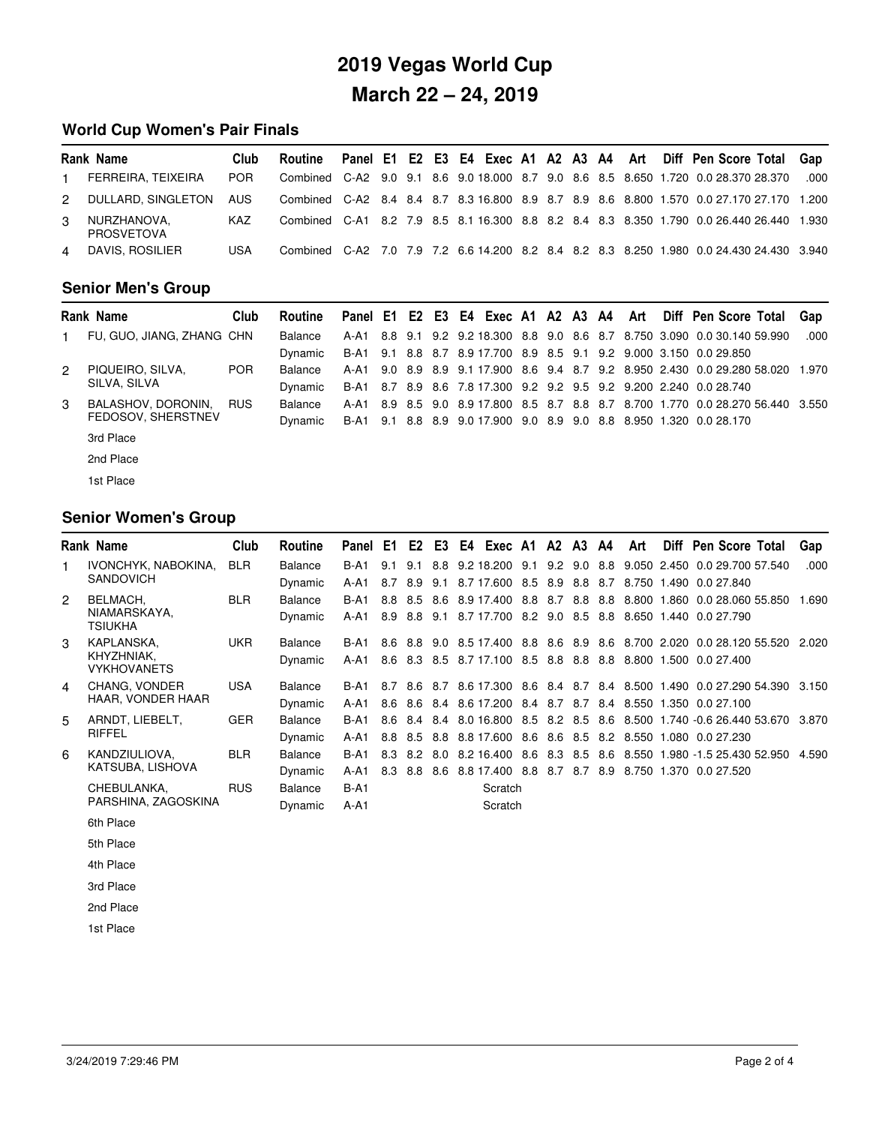### **World Cup Women's Pair Finals**

|                | Rank Name                        | Club       | Routine |  |  |  |  |  |  | Panel E1 E2 E3 E4 Exec A1 A2 A3 A4 Art Diff Pen Score Total Gap                          |      |
|----------------|----------------------------------|------------|---------|--|--|--|--|--|--|------------------------------------------------------------------------------------------|------|
| $\blacksquare$ | FERREIRA, TEIXEIRA               | <b>POR</b> |         |  |  |  |  |  |  | Combined C-A2 9.0 9.1 8.6 9.0 18.000 8.7 9.0 8.6 8.5 8.650 1.720 0.0 28.370 28.370       | .000 |
| $\mathcal{P}$  | DULLARD, SINGLETON               | <b>AUS</b> |         |  |  |  |  |  |  | Combined C-A2 8.4 8.4 8.7 8.3 16.800 8.9 8.7 8.9 8.6 8.800 1.570 0.0 27.170 27.170 1.200 |      |
| 3              | NURZHANOVA.<br><b>PROSVETOVA</b> | <b>KAZ</b> |         |  |  |  |  |  |  | Combined C-A1 8.2 7.9 8.5 8.1 16.300 8.8 8.2 8.4 8.3 8.350 1.790 0.0 26.440 26.440 1.930 |      |
| 4              | DAVIS, ROSILIER                  | USA        |         |  |  |  |  |  |  | Combined C-A2 7.0 7.9 7.2 6.6 14.200 8.2 8.4 8.2 8.3 8.250 1.980 0.0 24.430 24.430 3.940 |      |

### **Senior Men's Group**-

|   | <b>Rank Name</b>          | Club       | Routine        |  |  |  |  |  |  | Panel E1 E2 E3 E4 Exec A1 A2 A3 A4 Art Diff Pen Score Total                     | Gap   |
|---|---------------------------|------------|----------------|--|--|--|--|--|--|---------------------------------------------------------------------------------|-------|
|   | FU, GUO, JIANG, ZHANG CHN |            | Balance        |  |  |  |  |  |  | A-A1 8.8 9.1 9.2 9.2 18.300 8.8 9.0 8.6 8.7 8.750 3.090 0.0 30.140 59.990       | .000. |
|   |                           |            | Dynamic        |  |  |  |  |  |  | B-A1 9.1 8.8 8.7 8.9 17.700 8.9 8.5 9.1 9.2 9.000 3.150 0.0 29.850              |       |
| 2 | PIQUEIRO, SILVA,          | POR        | Balance        |  |  |  |  |  |  | A-A1 9.0 8.9 8.9 9.1 17.900 8.6 9.4 8.7 9.2 8.950 2.430 0.0 29.280 58.020 1.970 |       |
|   | SILVA, SILVA              |            | Dynamic        |  |  |  |  |  |  | B-A1 8.7 8.9 8.6 7.8 17.300 9.2 9.2 9.5 9.2 9.200 2.240 0.0 28.740              |       |
| 3 | BALASHOV, DORONIN,        | <b>RUS</b> | <b>Balance</b> |  |  |  |  |  |  | A-A1 8.9 8.5 9.0 8.9 17.800 8.5 8.7 8.8 8.7 8.700 1.770 0.0 28.270 56.440 3.550 |       |
|   | FEDOSOV, SHERSTNEV        |            | Dynamic        |  |  |  |  |  |  | B-A1 9.1 8.8 8.9 9.0 17.900 9.0 8.9 9.0 8.8 8.950 1.320 0.0 28.170              |       |
|   | 3rd Place                 |            |                |  |  |  |  |  |  |                                                                                 |       |
|   | 2nd Place                 |            |                |  |  |  |  |  |  |                                                                                 |       |

1st Place

### **Senior Women's Group**

|                | Rank Name                        | Club       | Routine        | Panel E1    |     |     |     | E2 E3 E4 Exec A1 A2 A3 A4      |  |  | Art | Diff Pen Score Total                                                       | Gap   |
|----------------|----------------------------------|------------|----------------|-------------|-----|-----|-----|--------------------------------|--|--|-----|----------------------------------------------------------------------------|-------|
| 1              | IVONCHYK, NABOKINA,              | <b>BLR</b> | <b>Balance</b> | $B-A1$      | 9.1 | 9.1 |     | 8.8 9.2 18.200 9.1             |  |  |     | 9.2 9.0 8.8 9.050 2.450 0.0 29.700 57.540                                  | .000  |
|                | <b>SANDOVICH</b>                 |            | Dynamic        | A-A1        | 8.7 | 8.9 |     | 9.1 8.7 17.600 8.5 8.9 8.8 8.7 |  |  |     | 8.750 1.490 0.0 27.840                                                     |       |
| $\overline{2}$ | BELMACH,                         | <b>BLR</b> | <b>Balance</b> | $B-A1$      | 8.8 | 8.5 | 8.6 | 8.9 17.400 8.8 8.7 8.8 8.8     |  |  |     | 8.800 1.860 0.0 28.060 55.850                                              | 1.690 |
|                | NIAMARSKAYA,<br><b>TSIUKHA</b>   |            | Dynamic        | $A-A1$      |     |     |     |                                |  |  |     | 8.9 8.8 9.1 8.7 17.700 8.2 9.0 8.5 8.8 8.650 1.440 0.0 27.790              |       |
| 3              | KAPLANSKA,                       | <b>UKR</b> | Balance        | <b>B-A1</b> |     |     |     |                                |  |  |     | 8.6 8.8 9.0 8.5 17.400 8.8 8.6 8.9 8.6 8.700 2.020 0.0 28.120 55.520 2.020 |       |
|                | KHYZHNIAK,<br><b>VYKHOVANETS</b> |            | Dynamic        | A-A1        |     |     |     |                                |  |  |     | 8.6 8.3 8.5 8.7 17.100 8.5 8.8 8.8 8.8 8.800 1.500 0.0 27.400              |       |
| 4              | CHANG, VONDER                    | <b>USA</b> | <b>Balance</b> | $B-A1$      |     |     |     |                                |  |  |     | 8.7 8.6 8.7 8.6 17.300 8.6 8.4 8.7 8.4 8.500 1.490 0.0 27.290 54.390 3.150 |       |
|                | HAAR, VONDER HAAR                |            | Dynamic        | $A-A1$      |     |     |     |                                |  |  |     | 8.6 8.6 8.4 8.6 17.200 8.4 8.7 8.7 8.4 8.550 1.350 0.0 27.100              |       |
| 5              | ARNDT, LIEBELT,                  | <b>GER</b> | <b>Balance</b> | $B-A1$      | 8.6 | 8.4 |     | 8.4 8.0 16.800 8.5 8.2 8.5 8.6 |  |  |     | 8.500 1.740 -0.6 26.440 53.670                                             | 3.870 |
|                | RIFFEL                           |            | Dynamic        | $A-A1$      |     |     |     |                                |  |  |     | 8.8 8.5 8.8 8.8 17.600 8.6 8.6 8.5 8.2 8.550 1.080 0.0 27.230              |       |
| 6              | KANDZIULIOVA,                    | <b>BLR</b> | <b>Balance</b> | $B-A1$      |     |     |     |                                |  |  |     | 8.3 8.2 8.0 8.2 16.400 8.6 8.3 8.5 8.6 8.550 1.980 -1.5 25.430 52.950      | 4.590 |
|                | KATSUBA, LISHOVA                 |            | Dynamic        | $A-A1$      | 8.3 |     |     |                                |  |  |     | 8.8 8.6 8.8 17.400 8.8 8.7 8.7 8.9 8.750 1.370 0.0 27.520                  |       |
|                | CHEBULANKA.                      | <b>RUS</b> | <b>Balance</b> | $B-A1$      |     |     |     | Scratch                        |  |  |     |                                                                            |       |
|                | PARSHINA, ZAGOSKINA              |            | Dynamic        | A-A1        |     |     |     | Scratch                        |  |  |     |                                                                            |       |
|                | 6th Place                        |            |                |             |     |     |     |                                |  |  |     |                                                                            |       |
|                | 5th Place                        |            |                |             |     |     |     |                                |  |  |     |                                                                            |       |
|                | 4th Place                        |            |                |             |     |     |     |                                |  |  |     |                                                                            |       |
|                | 3rd Place                        |            |                |             |     |     |     |                                |  |  |     |                                                                            |       |
|                | 2nd Place                        |            |                |             |     |     |     |                                |  |  |     |                                                                            |       |

1st Place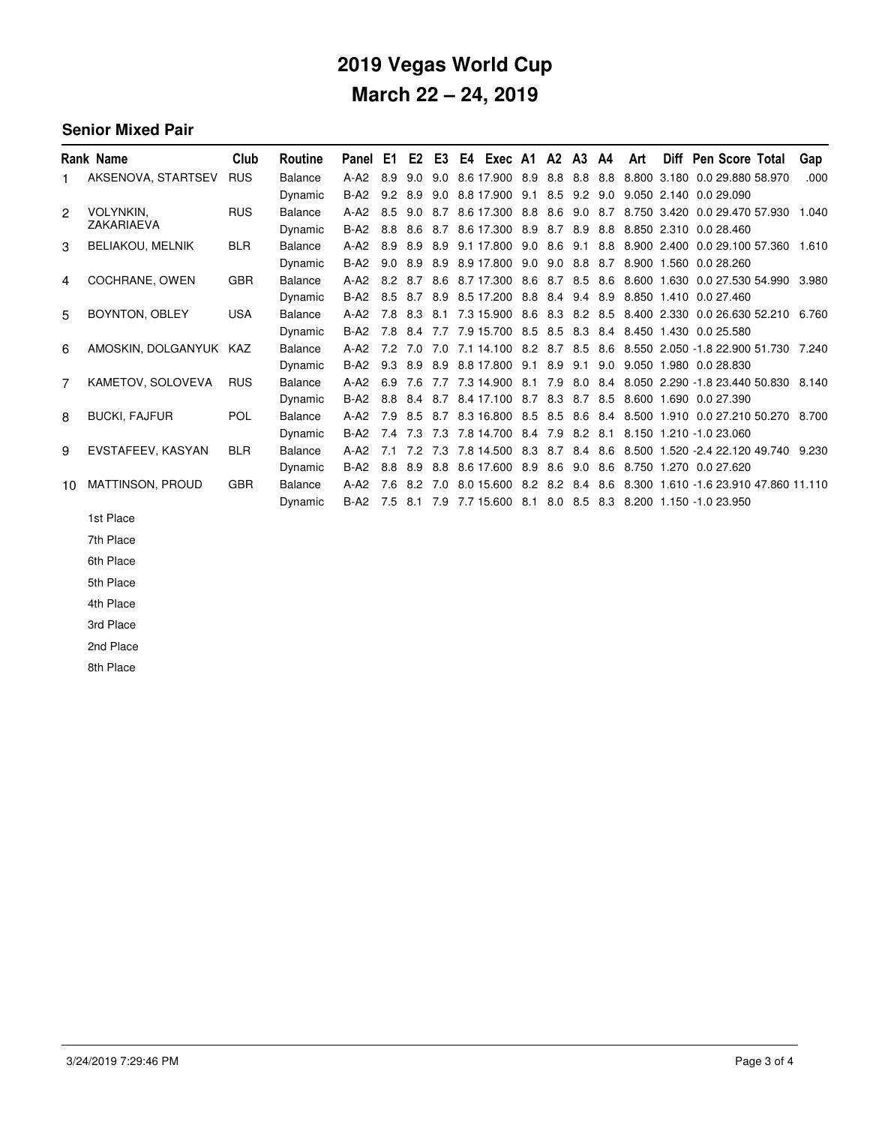#### **Senior Mixed Pair**-

|    | Rank Name               | Club       | Routine        | Panel E1 |     |                |     | E2 E3 E4 Exec A1 A2 A3 A4                                     |     |             |     | Art | Diff Pen Score Total                                                 | Gap   |
|----|-------------------------|------------|----------------|----------|-----|----------------|-----|---------------------------------------------------------------|-----|-------------|-----|-----|----------------------------------------------------------------------|-------|
| 1. | AKSENOVA, STARTSEV      | <b>RUS</b> | Balance        | $A-A2$   | 8.9 | 9.0            | 9.0 | 8.6 17.900 8.9 8.8 8.8 8.8                                    |     |             |     |     | 8.800 3.180 0.0 29.880 58.970                                        | .000  |
|    |                         |            | Dynamic        | $B-A2$   |     | $9.2\quad 8.9$ | 9.0 | 8.8 17.900 9.1 8.5 9.2 9.0                                    |     |             |     |     | 9.050 2.140 0.0 29.090                                               |       |
| 2  | <b>VOLYNKIN.</b>        | <b>RUS</b> | Balance        | $A-A2$   | 8.5 | 9.0 8.7        |     |                                                               |     |             |     |     | 8.6 17.300 8.8 8.6 9.0 8.7 8.750 3.420 0.0 29.470 57.930             | 1.040 |
|    | ZAKARIAEVA              |            | Dynamic        | $B-A2$   | 8.8 | 8.6            | 8.7 | 8.6 17.300 8.9 8.7 8.9 8.8                                    |     |             |     |     | 8.850 2.310 0.0 28.460                                               |       |
| 3  | <b>BELIAKOU, MELNIK</b> | <b>BLR</b> | <b>Balance</b> | $A-A2$   | 8.9 | 8.9            | 8.9 | 9.1 17.800 9.0 8.6 9.1 8.8                                    |     |             |     |     | 8.900 2.400 0.0 29.100 57.360                                        | 1.610 |
|    |                         |            | Dynamic        | $B-A2$   |     |                |     | 9.0 8.9 8.9 8.9 17.800 9.0 9.0 8.8 8.7                        |     |             |     |     | 8.900 1.560 0.0 28.260                                               |       |
| 4  | COCHRANE, OWEN          | <b>GBR</b> | <b>Balance</b> | $A-A2$   |     |                |     | 8.2 8.7 8.6 8.7 17.300 8.6 8.7 8.5 8.6                        |     |             |     |     | 8.600 1.630 0.0 27.530 54.990                                        | 3.980 |
|    |                         |            | Dynamic        | $B-A2$   | 8.5 | 8.7            | 8.9 | 8.5 17.200 8.8 8.4 9.4 8.9                                    |     |             |     |     | 8.850 1.410 0.0 27.460                                               |       |
| 5  | BOYNTON, OBLEY          | <b>USA</b> | Balance        | $A-A2$   |     | 7.8 8.3        | 8.1 | 7.3 15.900 8.6 8.3 8.2 8.5                                    |     |             |     |     | 8.400 2.330 0.0 26.630 52.210                                        | 6.760 |
|    |                         |            | Dynamic        | $B-A2$   |     |                |     | 7.8 8.4 7.7 7.9 15.700 8.5 8.5 8.3 8.4 8.450 1.430 0.0 25.580 |     |             |     |     |                                                                      |       |
| 6  | AMOSKIN, DOLGANYUK KAZ  |            | Balance        | $A-A2$   | 7.2 |                |     | 7.0 7.0 7.1 14.100 8.2 8.7 8.5 8.6                            |     |             |     |     | 8.550 2.050 -1.8 22.900 51.730 7.240                                 |       |
|    |                         |            | Dynamic        | $B-A2$   | 9.3 | 8.9            | 8.9 | 8.8 17.800 9.1                                                | 8.9 | 9.1         | 9.0 |     | 9.050 1.980 0.0 28.830                                               |       |
| 7  | KAMETOV, SOLOVEVA       | <b>RUS</b> | Balance        | $A-A2$   | 6.9 | 7.6            | 7.7 | 7.3 14.900                                                    |     |             |     |     | 8.1 7.9 8.0 8.4 8.050 2.290 -1.8 23.440 50.830                       | 8.140 |
|    |                         |            | Dynamic        | $B-A2$   |     |                |     | 8.8 8.4 8.7 8.4 17.100 8.7 8.3 8.7 8.5                        |     |             |     |     | 8.600 1.690 0.0 27.390                                               |       |
| 8  | <b>BUCKI, FAJFUR</b>    | <b>POL</b> | Balance        | $A-A2$   |     |                |     |                                                               |     |             |     |     | 7.9 8.5 8.7 8.3 16.800 8.5 8.5 8.6 8.4 8.500 1.910 0.0 27.210 50.270 | 8.700 |
|    |                         |            | Dynamic        | $B-A2$   | 7.4 | 7.3            | 7.3 | 7.8 14.700 8.4 7.9                                            |     | $8.2$ $8.1$ |     |     | 8.150 1.210 -1.0 23.060                                              |       |
| 9  | EVSTAFEEV, KASYAN       | <b>BLR</b> | <b>Balance</b> | $A-A2$   | 7.1 | 7.2            | 7.3 | 7.8 14.500 8.3 8.7 8.4 8.6                                    |     |             |     |     | 8.500 1.520 -2.4 22.120 49.740                                       | 9.230 |
|    |                         |            | Dynamic        | $B-A2$   | 8.8 | 8.9            | 8.8 | 8.6 17.600 8.9                                                |     | 8.6 9.0 8.6 |     |     | 8.750 1.270 0.0 27.620                                               |       |
| 10 | <b>MATTINSON, PROUD</b> | <b>GBR</b> | Balance        | $A-A2$   | 7.6 | 8.2            | 7.0 | 8.0 15.600 8.2 8.2 8.4 8.6                                    |     |             |     |     | 8.300 1.610 -1.6 23.910 47.860 11.110                                |       |
|    |                         |            | Dynamic        | B-A2     | 7.5 |                |     | 8.1 7.9 7.7 15.600 8.1 8.0 8.5 8.3 8.200 1.150 -1.0 23.950    |     |             |     |     |                                                                      |       |

1st Place

7th Place

6th Place

5th Place

4th Place

3rd Place

2nd Place

8th Place